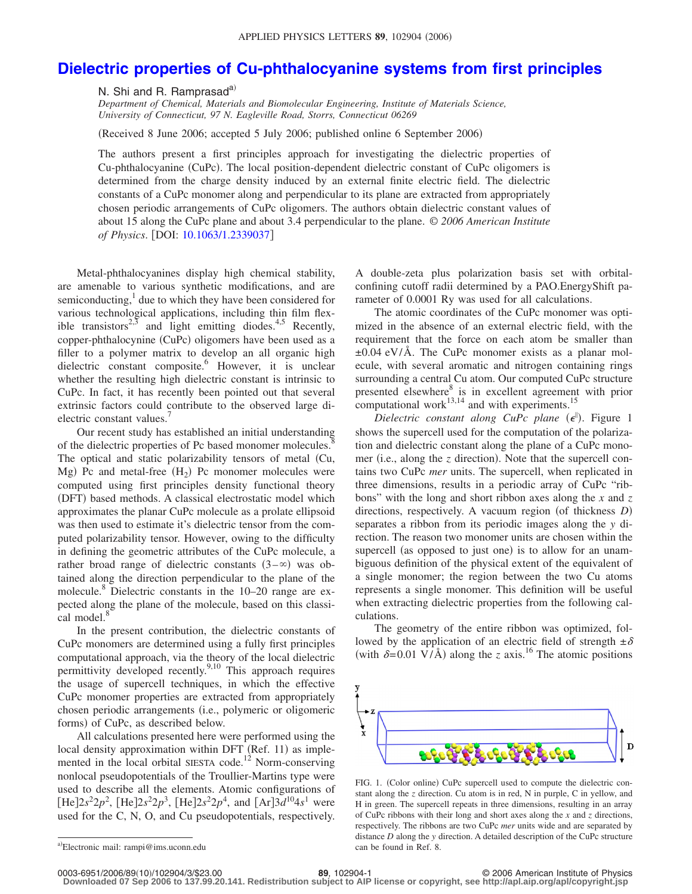## **[Dielectric properties of Cu-phthalocyanine systems from first principles](http://dx.doi.org/10.1063/1.2339037)**

N. Shi and R. Ramprasad<sup>a)</sup>

*Department of Chemical, Materials and Biomolecular Engineering, Institute of Materials Science, University of Connecticut, 97 N. Eagleville Road, Storrs, Connecticut 06269*

(Received 8 June 2006; accepted 5 July 2006; published online 6 September 2006)

The authors present a first principles approach for investigating the dielectric properties of Cu-phthalocyanine (CuPc). The local position-dependent dielectric constant of CuPc oligomers is determined from the charge density induced by an external finite electric field. The dielectric constants of a CuPc monomer along and perpendicular to its plane are extracted from appropriately chosen periodic arrangements of CuPc oligomers. The authors obtain dielectric constant values of about 15 along the CuPc plane and about 3.4 perpendicular to the plane. © *2006 American Institute of Physics*. DOI: [10.1063/1.2339037](http://dx.doi.org/10.1063/1.2339037)

Metal-phthalocyanines display high chemical stability, are amenable to various synthetic modifications, and are semiconducting, $\frac{1}{x}$  due to which they have been considered for various technological applications, including thin film flexible transistors<sup>2,3</sup> and light emitting diodes.<sup>4,5</sup> Recently, copper-phthalocynine (CuPc) oligomers have been used as a filler to a polymer matrix to develop an all organic high dielectric constant composite.<sup>6</sup> However, it is unclear whether the resulting high dielectric constant is intrinsic to CuPc. In fact, it has recently been pointed out that several extrinsic factors could contribute to the observed large dielectric constant values.<sup>7</sup>

Our recent study has established an initial understanding of the dielectric properties of Pc based monomer molecules.<sup>8</sup> The optical and static polarizability tensors of metal Cu, Mg) Pc and metal-free  $(H_2)$  Pc monomer molecules were computed using first principles density functional theory (DFT) based methods. A classical electrostatic model which approximates the planar CuPc molecule as a prolate ellipsoid was then used to estimate it's dielectric tensor from the computed polarizability tensor. However, owing to the difficulty in defining the geometric attributes of the CuPc molecule, a rather broad range of dielectric constants  $(3-\infty)$  was obtained along the direction perpendicular to the plane of the molecule.<sup>8</sup> Dielectric constants in the 10–20 range are expected along the plane of the molecule, based on this classical model. $\delta$ 

In the present contribution, the dielectric constants of CuPc monomers are determined using a fully first principles computational approach, via the theory of the local dielectric permittivity developed recently. $9,10$  This approach requires the usage of supercell techniques, in which the effective CuPc monomer properties are extracted from appropriately chosen periodic arrangements (i.e., polymeric or oligomeric forms) of CuPc, as described below.

All calculations presented here were performed using the local density approximation within DFT (Ref. 11) as implemented in the local orbital SIESTA code.<sup>12</sup> Norm-conserving nonlocal pseudopotentials of the Troullier-Martins type were used to describe all the elements. Atomic configurations of  $[He]2s^22p^2$ ,  $[He]2s^22p^3$ ,  $[He]2s^22p^4$ , and  $[Ar]3d^{10}4s^1$  were used for the C, N, O, and Cu pseudopotentials, respectively. A double-zeta plus polarization basis set with orbitalconfining cutoff radii determined by a PAO.EnergyShift parameter of 0.0001 Ry was used for all calculations.

The atomic coordinates of the CuPc monomer was optimized in the absence of an external electric field, with the requirement that the force on each atom be smaller than  $\pm 0.04$  eV/Å. The CuPc monomer exists as a planar molecule, with several aromatic and nitrogen containing rings surrounding a central Cu atom. Our computed CuPc structure presented elsewhere<sup>8</sup> is in excellent agreement with prior computational work $^{13,14}$  and with experiments.<sup>15</sup>

*Dielectric constant along CuPc plane* (e<sup>||</sup>). Figure 1 shows the supercell used for the computation of the polarization and dielectric constant along the plane of a CuPc monomer (i.e., along the *z* direction). Note that the supercell contains two CuPc *mer* units. The supercell, when replicated in three dimensions, results in a periodic array of CuPc "ribbons" with the long and short ribbon axes along the *x* and *z* directions, respectively. A vacuum region (of thickness *D*) separates a ribbon from its periodic images along the *y* direction. The reason two monomer units are chosen within the supercell (as opposed to just one) is to allow for an unambiguous definition of the physical extent of the equivalent of a single monomer; the region between the two Cu atoms represents a single monomer. This definition will be useful when extracting dielectric properties from the following calculations.

The geometry of the entire ribbon was optimized, followed by the application of an electric field of strength  $\pm \delta$ (with  $\delta = 0.01 \text{ V/A}$ ) along the *z* axis.<sup>16</sup> The atomic positions



FIG. 1. (Color online) CuPc supercell used to compute the dielectric constant along the *z* direction. Cu atom is in red, N in purple, C in yellow, and H in green. The supercell repeats in three dimensions, resulting in an array of CuPc ribbons with their long and short axes along the *x* and *z* directions, respectively. The ribbons are two CuPc *mer* units wide and are separated by distance *D* along the *y* direction. A detailed description of the CuPc structure can be found in Ref. 8.

**Downloaded 07 Sep 2006 to 137.99.20.141. Redistribution subject to AIP license or copyright, see http://apl.aip.org/apl/copyright.jsp**

a)Electronic mail: rampi@ims.uconn.edu

<sup>10</sup>/102904/3/\$23.00 © 2006 American Institute of Physics **89**, 102904-1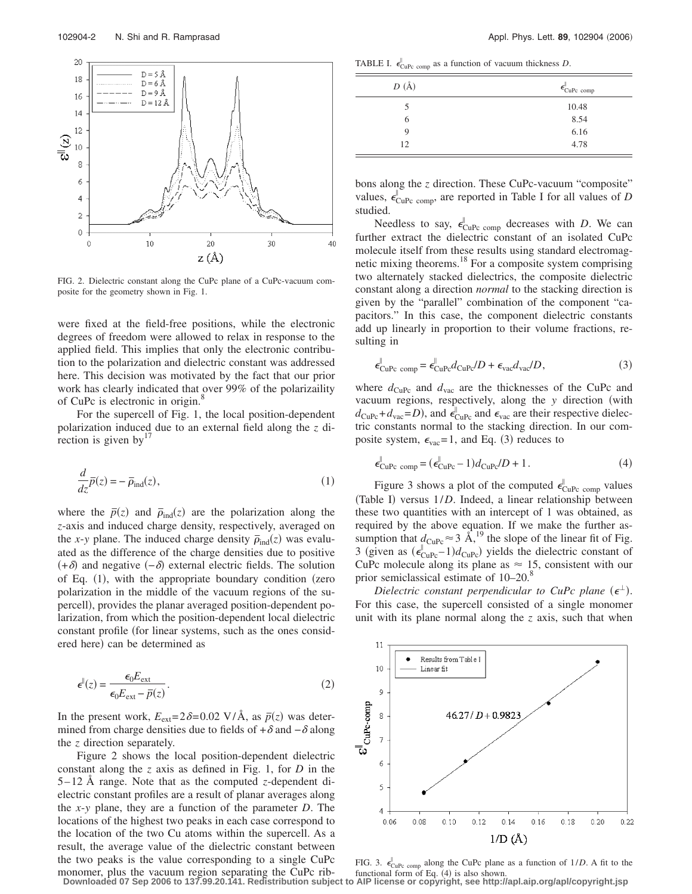

FIG. 2. Dielectric constant along the CuPc plane of a CuPc-vacuum composite for the geometry shown in Fig. 1.

were fixed at the field-free positions, while the electronic degrees of freedom were allowed to relax in response to the applied field. This implies that only the electronic contribution to the polarization and dielectric constant was addressed here. This decision was motivated by the fact that our prior work has clearly indicated that over 99% of the polarizaility of CuPc is electronic in origin.<sup>8</sup>

For the supercell of Fig. 1, the local position-dependent polarization induced due to an external field along the *z* direction is given by $17$ 

$$
\frac{d}{dz}\overline{p}(z) = -\overline{\rho}_{\text{ind}}(z),\tag{1}
$$

where the  $\bar{p}(z)$  and  $\bar{p}_{ind}(z)$  are the polarization along the *z*-axis and induced charge density, respectively, averaged on the *x*-*y* plane. The induced charge density  $\bar{\rho}_{ind}(z)$  was evaluated as the difference of the charge densities due to positive  $(+\delta)$  and negative  $(-\delta)$  external electric fields. The solution of Eq. (1), with the appropriate boundary condition (zero polarization in the middle of the vacuum regions of the supercell), provides the planar averaged position-dependent polarization, from which the position-dependent local dielectric constant profile (for linear systems, such as the ones considered here) can be determined as

$$
\epsilon^{II}(z) = \frac{\epsilon_0 E_{\text{ext}}}{\epsilon_0 E_{\text{ext}} - \bar{p}(z)}.
$$
\n(2)

In the present work,  $E_{ext} = 2\delta = 0.02 \text{ V}/\text{Å}$ , as  $\bar{p}(z)$  was determined from charge densities due to fields of  $+\delta$  and  $-\delta$  along the *z* direction separately.

Figure 2 shows the local position-dependent dielectric constant along the *z* axis as defined in Fig. 1, for *D* in the 5 – 12 Å range. Note that as the computed *z*-dependent dielectric constant profiles are a result of planar averages along the *x*-*y* plane, they are a function of the parameter *D*. The locations of the highest two peaks in each case correspond to the location of the two Cu atoms within the supercell. As a result, the average value of the dielectric constant between the two peaks is the value corresponding to a single CuPc monomer, plus the vacuum region separating the CuPc rib-

TABLE I.  $\epsilon_{\text{CuPe comp}}^{\parallel}$  as a function of vacuum thickness *D*.

| $D(\AA)$ | $\epsilon_{\text{CuPc comp}}^{\parallel}$ |
|----------|-------------------------------------------|
|          | 10.48                                     |
| b        | 8.54                                      |
| 9        | 6.16                                      |
| 12       | 4.78                                      |

bons along the *z* direction. These CuPc-vacuum "composite" values,  $\epsilon_{\text{CuPc comp}}^{\parallel}$  $\int_{C_{\text{UPC comp}}}^{\infty}$ , are reported in Table I for all values of *D* studied.

Needless to say,  $\epsilon_{\text{CuPc comp}}^{\parallel}$  $\frac{1}{CuPc comp}$  decreases with *D*. We can further extract the dielectric constant of an isolated CuPc molecule itself from these results using standard electromagnetic mixing theorems.18 For a composite system comprising two alternately stacked dielectrics, the composite dielectric constant along a direction *normal* to the stacking direction is given by the "parallel" combination of the component "capacitors." In this case, the component dielectric constants add up linearly in proportion to their volume fractions, resulting in

$$
\epsilon_{\text{CuPc comp}}^{\parallel} = \epsilon_{\text{CuPc}}^{\parallel} d_{\text{CuPc}} / D + \epsilon_{\text{vac}} d_{\text{vac}} / D, \qquad (3)
$$

where  $d_{CuPc}$  and  $d_{vac}$  are the thicknesses of the CuPc and vacuum regions, respectively, along the *y* direction (with  $d_{\text{CuPe}} + d_{\text{vac}} = D$ ), and  $\epsilon_{\text{CuPe}}^{\parallel}$  $\sum_{\text{CuPe}}^{\parallel}$  and  $\epsilon_{\text{vac}}$  are their respective dielectric constants normal to the stacking direction. In our composite system,  $\epsilon_{\text{vac}} = 1$ , and Eq. (3) reduces to

$$
\epsilon_{\text{CuPc comp}}^{\parallel} = (\epsilon_{\text{CuPc}}^{\parallel} - 1)d_{\text{CuPc}}/D + 1.
$$
\n(4)

Figure 3 shows a plot of the computed  $\epsilon_{\text{CuPc comp}}^{\parallel}$  $\frac{1}{\text{CuPe}}$  comp values (Table I) versus  $1/D$ . Indeed, a linear relationship between these two quantities with an intercept of 1 was obtained, as required by the above equation. If we make the further assumption that  $d_{\text{CuPe}} \approx 3 \text{ Å}^{19}$ , the slope of the linear fit of Fig. 3 (given as  $(\epsilon_{\text{CuPc}}^{\parallel})$  $\int_{\text{CuPe}}^{\parallel}$  – 1) $d_{\text{CuPe}}$ ) yields the dielectric constant of CuPc molecule along its plane as  $\approx 15$ , consistent with our prior semiclassical estimate of 10–20.<sup>8</sup>

Dielectric constant perpendicular to CuPc plane  $(\epsilon^{\perp})$ . For this case, the supercell consisted of a single monomer unit with its plane normal along the *z* axis, such that when



FIG. 3.  $\epsilon_{\text{CuPc comp}}^{\parallel}$  along the CuPc plane as a function of 1/*D*. A fit to the functional form of Eq.  $(4)$  is also shown. **Downloaded 07 Sep 2006 to 137.99.20.141. Redistribution subject to AIP license or copyright, see http://apl.aip.org/apl/copyright.jsp**